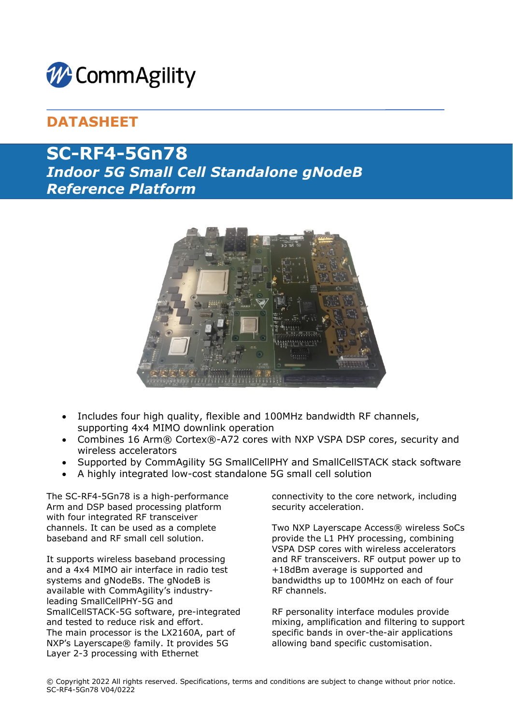

# **DATASHEET**

# **SC-RF4-5Gn78** *Indoor 5G Small Cell Standalone gNodeB Reference Platform*



- Includes four high quality, flexible and 100MHz bandwidth RF channels, supporting 4x4 MIMO downlink operation
- Combines 16 Arm® Cortex®-A72 cores with NXP VSPA DSP cores, security and wireless accelerators
- Supported by CommAgility 5G SmallCellPHY and SmallCellSTACK stack software
- A highly integrated low-cost standalone 5G small cell solution

The SC-RF4-5Gn78 is a high-performance Arm and DSP based processing platform with four integrated RF transceiver channels. It can be used as a complete baseband and RF small cell solution.

It supports wireless baseband processing and a 4x4 MIMO air interface in radio test systems and gNodeBs. The gNodeB is available with CommAgility's industryleading SmallCellPHY-5G and SmallCellSTACK-5G software, pre-integrated and tested to reduce risk and effort. The main processor is the LX2160A, part of NXP's Layerscape® family. It provides 5G Layer 2-3 processing with Ethernet

connectivity to the core network, including security acceleration.

Two NXP Layerscape Access® wireless SoCs provide the L1 PHY processing, combining VSPA DSP cores with wireless accelerators and RF transceivers. RF output power up to +18dBm average is supported and bandwidths up to 100MHz on each of four RF channels.

RF personality interface modules provide mixing, amplification and filtering to support specific bands in over-the-air applications allowing band specific customisation.